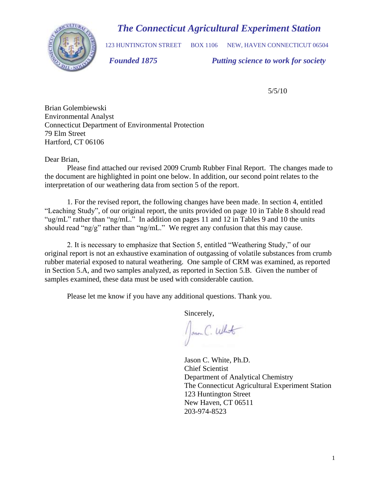# *The Connecticut Agricultural Experiment Station*



123 HUNTINGTON STREET BOX 1106 NEW, HAVEN CONNECTICUT 06504

 *Founded 1875 Putting science to work for society*

5/5/10

Brian Golembiewski Environmental Analyst Connecticut Department of Environmental Protection 79 Elm Street Hartford, CT 06106

Dear Brian,

Please find attached our revised 2009 Crumb Rubber Final Report. The changes made to the document are highlighted in point one below. In addition, our second point relates to the interpretation of our weathering data from section 5 of the report.

1. For the revised report, the following changes have been made. In section 4, entitled "Leaching Study", of our original report, the units provided on page 10 in Table 8 should read "ug/mL" rather than "ng/mL." In addition on pages 11 and 12 in Tables 9 and 10 the units should read "ng/g" rather than "ng/mL." We regret any confusion that this may cause.

2. It is necessary to emphasize that Section 5, entitled "Weathering Study," of our original report is not an exhaustive examination of outgassing of volatile substances from crumb rubber material exposed to natural weathering. One sample of CRM was examined, as reported in Section 5.A, and two samples analyzed, as reported in Section 5.B. Given the number of samples examined, these data must be used with considerable caution.

Please let me know if you have any additional questions. Thank you.

Sincerely,

Jann C. What

 Jason C. White, Ph.D. Chief Scientist Department of Analytical Chemistry The Connecticut Agricultural Experiment Station 123 Huntington Street New Haven, CT 06511 203-974-8523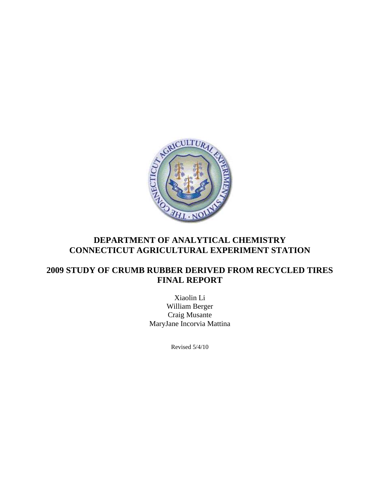

# **CONNECTICUT AGRICULTURAL EXPERIMENT STATION**

# **2009 STUDY OF CRUMB RUBBER DERIVED FROM RECYCLED TIRES FINAL REPORT**

Xiaolin Li William Berger Craig Musante MaryJane Incorvia Mattina

Revised 5/4/10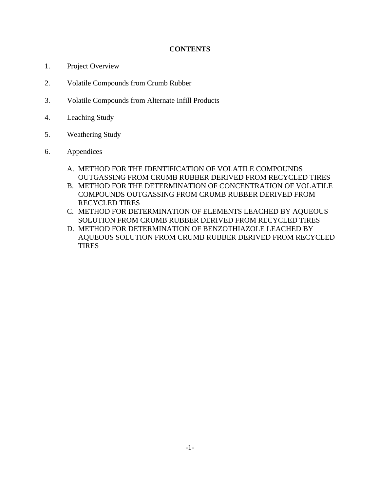# **CONTENTS**

- 1. Project Overview
- 2. Volatile Compounds from Crumb Rubber
- 3. Volatile Compounds from Alternate Infill Products
- 4. Leaching Study
- 5. Weathering Study
- 6. Appendices
	- A. METHOD FOR THE IDENTIFICATION OF VOLATILE COMPOUNDS OUTGASSING FROM CRUMB RUBBER DERIVED FROM RECYCLED TIRES
	- B. METHOD FOR THE DETERMINATION OF CONCENTRATION OF VOLATILE COMPOUNDS OUTGASSING FROM CRUMB RUBBER DERIVED FROM RECYCLED TIRES
	- C. METHOD FOR DETERMINATION OF ELEMENTS LEACHED BY AQUEOUS SOLUTION FROM CRUMB RUBBER DERIVED FROM RECYCLED TIRES
	- D. METHOD FOR DETERMINATION OF BENZOTHIAZOLE LEACHED BY AQUEOUS SOLUTION FROM CRUMB RUBBER DERIVED FROM RECYCLED TIRES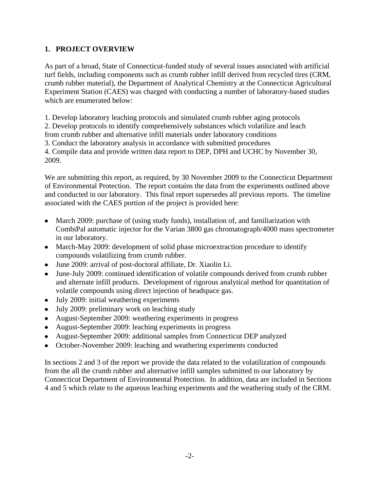# **1. PROJECT OVERVIEW**

As part of a broad, State of Connecticut-funded study of several issues associated with artificial turf fields, including components such as crumb rubber infill derived from recycled tires (CRM, crumb rubber material), the Department of Analytical Chemistry at the Connecticut Agricultural Experiment Station (CAES) was charged with conducting a number of laboratory-based studies which are enumerated below:

1. Develop laboratory leaching protocols and simulated crumb rubber aging protocols 2. Develop protocols to identify comprehensively substances which volatilize and leach from crumb rubber and alternative infill materials under laboratory conditions 3. Conduct the laboratory analysis in accordance with submitted procedures 4. Compile data and provide written data report to DEP, DPH and UCHC by November 30, 2009.

We are submitting this report, as required, by 30 November 2009 to the Connecticut Department of Environmental Protection. The report contains the data from the experiments outlined above and conducted in our laboratory. This final report supersedes all previous reports. The timeline associated with the CAES portion of the project is provided here:

- March 2009: purchase of (using study funds), installation of, and familiarization with CombiPal automatic injector for the Varian 3800 gas chromatograph/4000 mass spectrometer in our laboratory.
- March-May 2009: development of solid phase microextraction procedure to identify compounds volatilizing from crumb rubber.
- June 2009: arrival of post-doctoral affiliate, Dr. Xiaolin Li.
- June-July 2009: continued identification of volatile compounds derived from crumb rubber and alternate infill products. Development of rigorous analytical method for quantitation of volatile compounds using direct injection of headspace gas.
- July 2009: initial weathering experiments  $\bullet$
- July 2009: preliminary work on leaching study
- August-September 2009: weathering experiments in progress
- August-September 2009: leaching experiments in progress
- August-September 2009: additional samples from Connecticut DEP analyzed  $\bullet$
- October-November 2009: leaching and weathering experiments conducted  $\bullet$

In sections 2 and 3 of the report we provide the data related to the volatilization of compounds from the all the crumb rubber and alternative infill samples submitted to our laboratory by Connecticut Department of Environmental Protection. In addition, data are included in Sections 4 and 5 which relate to the aqueous leaching experiments and the weathering study of the CRM.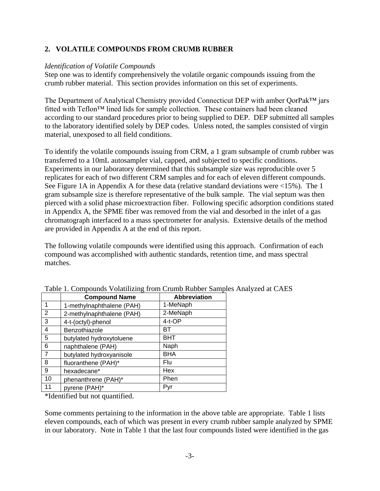# **2. VOLATILE COMPOUNDS FROM CRUMB RUBBER**

#### *Identification of Volatile Compounds*

Step one was to identify comprehensively the volatile organic compounds issuing from the crumb rubber material. This section provides information on this set of experiments.

The Department of Analytical Chemistry provided Connecticut DEP with amber QorPak™ jars fitted with Teflon™ lined lids for sample collection. These containers had been cleaned according to our standard procedures prior to being supplied to DEP. DEP submitted all samples to the laboratory identified solely by DEP codes. Unless noted, the samples consisted of virgin material, unexposed to all field conditions.

To identify the volatile compounds issuing from CRM, a 1 gram subsample of crumb rubber was transferred to a 10mL autosampler vial, capped, and subjected to specific conditions. Experiments in our laboratory determined that this subsample size was reproducible over 5 replicates for each of two different CRM samples and for each of eleven different compounds. See Figure 1A in Appendix A for these data (relative standard deviations were <15%). The 1 gram subsample size is therefore representative of the bulk sample. The vial septum was then pierced with a solid phase microextraction fiber. Following specific adsorption conditions stated in Appendix A, the SPME fiber was removed from the vial and desorbed in the inlet of a gas chromatograph interfaced to a mass spectrometer for analysis. Extensive details of the method are provided in Appendix A at the end of this report.

The following volatile compounds were identified using this approach. Confirmation of each compound was accomplished with authentic standards, retention time, and mass spectral matches.

|                | <b>Compound Name</b>      | <b>Abbreviation</b> |
|----------------|---------------------------|---------------------|
| 1              | 1-methylnaphthalene (PAH) | 1-MeNaph            |
| 2              | 2-methylnaphthalene (PAH) | 2-MeNaph            |
| 3              | 4-t-(octyl)-phenol        | 4-t-OP              |
| 4              | Benzothiazole             | BТ                  |
| 5              | butylated hydroxytoluene  | BHT                 |
| 6              | naphthalene (PAH)         | Naph                |
| $\overline{7}$ | butylated hydroxyanisole  | <b>BHA</b>          |
| 8              | fluoranthene (PAH)*       | Flu                 |
| 9              | hexadecane*               | Hex                 |
| 10             | phenanthrene (PAH)*       | Phen                |
| 11             | pyrene (PAH)*             | Pyr                 |

|  | Table 1. Compounds Volatilizing from Crumb Rubber Samples Analyzed at CAES |  |
|--|----------------------------------------------------------------------------|--|
|  |                                                                            |  |

\*Identified but not quantified.

Some comments pertaining to the information in the above table are appropriate. Table 1 lists eleven compounds, each of which was present in every crumb rubber sample analyzed by SPME in our laboratory. Note in Table 1 that the last four compounds listed were identified in the gas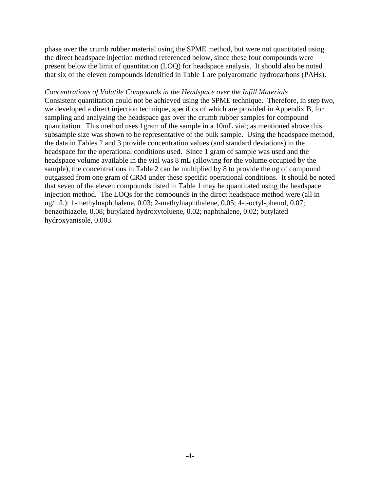phase over the crumb rubber material using the SPME method, but were not quantitated using the direct headspace injection method referenced below, since these four compounds were present below the limit of quantitation (LOQ) for headspace analysis. It should also be noted that six of the eleven compounds identified in Table 1 are polyaromatic hydrocarbons (PAHs).

#### *Concentrations of Volatile Compounds in the Headspace over the Infill Materials*

Consistent quantitation could not be achieved using the SPME technique. Therefore, in step two, we developed a direct injection technique, specifics of which are provided in Appendix B, for sampling and analyzing the headspace gas over the crumb rubber samples for compound quantitation. This method uses 1gram of the sample in a 10mL vial; as mentioned above this subsample size was shown to be representative of the bulk sample. Using the headspace method, the data in Tables 2 and 3 provide concentration values (and standard deviations) in the headspace for the operational conditions used. Since 1 gram of sample was used and the headspace volume available in the vial was 8 mL (allowing for the volume occupied by the sample), the concentrations in Table 2 can be multiplied by 8 to provide the ng of compound outgassed from one gram of CRM under these specific operational conditions. It should be noted that seven of the eleven compounds listed in Table 1 may be quantitated using the headspace injection method. The LOQs for the compounds in the direct headspace method were (all in ng/mL): 1-methylnaphthalene, 0.03; 2-methylnaphthalene, 0.05; 4-t-octyl-phenol, 0.07; benzothiazole, 0.08; butylated hydroxytoluene, 0.02; naphthalene, 0.02; butylated hydroxyanisole, 0.003.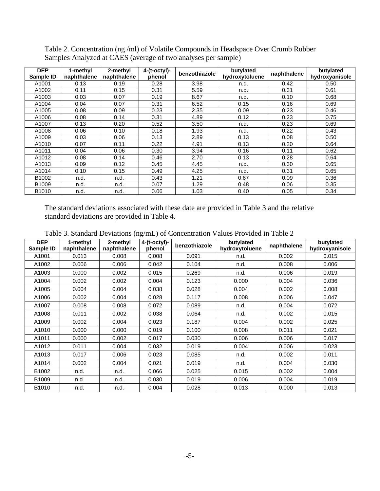| <b>DEP</b><br>Sample ID | 1-methyl<br>naphthalene | 2-methyl<br>naphthalene | $4-(t-octyl)$ -<br>phenol | benzothiazole | butylated<br>hydroxytoluene | naphthalene | butylated<br>hydroxyanisole |
|-------------------------|-------------------------|-------------------------|---------------------------|---------------|-----------------------------|-------------|-----------------------------|
| A1001                   | 0.13                    | 0.19                    | 0.28                      | 3.98          | n.d.                        | 0.42        | 0.50                        |
| A1002                   | 0.11                    | 0.15                    | 0.31                      | 5.59          | n.d.                        | 0.31        | 0.61                        |
| A1003                   | 0.03                    | 0.07                    | 0.19                      | 8.67          | n.d.                        | 0.10        | 0.68                        |
| A1004                   | 0.04                    | 0.07                    | 0.31                      | 6.52          | 0.15                        | 0.16        | 0.69                        |
| A1005                   | 0.08                    | 0.09                    | 0.23                      | 2.35          | 0.09                        | 0.23        | 0.46                        |
| A1006                   | 0.08                    | 0.14                    | 0.31                      | 4.89          | 0.12                        | 0.23        | 0.75                        |
| A1007                   | 0.13                    | 0.20                    | 0.52                      | 3.50          | n.d.                        | 0.23        | 0.69                        |
| A1008                   | 0.06                    | 0.10                    | 0.18                      | 1.93          | n.d.                        | 0.22        | 0.43                        |
| A1009                   | 0.03                    | 0.06                    | 0.13                      | 2.89          | 0.13                        | 0.08        | 0.50                        |
| A1010                   | 0.07                    | 0.11                    | 0.22                      | 4.91          | 0.13                        | 0.20        | 0.64                        |
| A1011                   | 0.04                    | 0.06                    | 0.30                      | 3.94          | 0.16                        | 0.11        | 0.62                        |
| A1012                   | 0.08                    | 0.14                    | 0.46                      | 2.70          | 0.13                        | 0.28        | 0.64                        |
| A1013                   | 0.09                    | 0.12                    | 0.45                      | 4.45          | n.d.                        | 0.30        | 0.65                        |
| A1014                   | 0.10                    | 0.15                    | 0.49                      | 4.25          | n.d.                        | 0.31        | 0.65                        |
| B1002                   | n.d.                    | n.d.                    | 0.43                      | 1.21          | 0.67                        | 0.09        | 0.36                        |
| B <sub>1009</sub>       | n.d.                    | n.d.                    | 0.07                      | 1.29          | 0.48                        | 0.06        | 0.35                        |
| B <sub>1010</sub>       | n.d.                    | n.d.                    | 0.06                      | 1.03          | 0.40                        | 0.05        | 0.34                        |

Table 2. Concentration (ng /ml) of Volatile Compounds in Headspace Over Crumb Rubber Samples Analyzed at CAES (average of two analyses per sample)

The standard deviations associated with these date are provided in Table 3 and the relative standard deviations are provided in Table 4.

| <b>DEP</b><br>Sample ID | 1-methyl<br>naphthalene | 2-methyl<br>naphthalene | $4-(t-octyl)$ -<br>phenol | benzothiazole | butylated<br>hydroxytoluene | naphthalene | butylated<br>hydroxyanisole |
|-------------------------|-------------------------|-------------------------|---------------------------|---------------|-----------------------------|-------------|-----------------------------|
| A1001                   | 0.013                   | 0.008                   | 0.008                     | 0.091         | n.d.                        | 0.002       | 0.015                       |
| A1002                   | 0.006                   | 0.006                   | 0.042                     | 0.104         | n.d.                        | 0.008       | 0.006                       |
| A1003                   | 0.000                   | 0.002                   | 0.015                     | 0.269         | n.d.                        | 0.006       | 0.019                       |
| A1004                   | 0.002                   | 0.002                   | 0.004                     | 0.123         | 0.000                       | 0.004       | 0.036                       |
| A1005                   | 0.004                   | 0.004                   | 0.038                     | 0.028         | 0.004                       | 0.002       | 0.008                       |
| A1006                   | 0.002                   | 0.004                   | 0.028                     | 0.117         | 0.008                       | 0.006       | 0.047                       |
| A1007                   | 0.008                   | 0.008                   | 0.072                     | 0.089         | n.d.                        | 0.004       | 0.072                       |
| A1008                   | 0.011                   | 0.002                   | 0.038                     | 0.064         | n.d.                        | 0.002       | 0.015                       |
| A1009                   | 0.002                   | 0.004                   | 0.023                     | 0.187         | 0.004                       | 0.002       | 0.025                       |
| A1010                   | 0.000                   | 0.000                   | 0.019                     | 0.100         | 0.008                       | 0.011       | 0.021                       |
| A1011                   | 0.000                   | 0.002                   | 0.017                     | 0.030         | 0.006                       | 0.006       | 0.017                       |
| A1012                   | 0.011                   | 0.004                   | 0.032                     | 0.019         | 0.004                       | 0.006       | 0.023                       |
| A1013                   | 0.017                   | 0.006                   | 0.023                     | 0.085         | n.d.                        | 0.002       | 0.011                       |
| A1014                   | 0.002                   | 0.004                   | 0.021                     | 0.019         | n.d.                        | 0.004       | 0.030                       |
| B1002                   | n.d.                    | n.d.                    | 0.066                     | 0.025         | 0.015                       | 0.002       | 0.004                       |
| B1009                   | n.d.                    | n.d.                    | 0.030                     | 0.019         | 0.006                       | 0.004       | 0.019                       |
| B1010                   | n.d.                    | n.d.                    | 0.004                     | 0.028         | 0.013                       | 0.000       | 0.013                       |

Table 3. Standard Deviations (ng/mL) of Concentration Values Provided in Table 2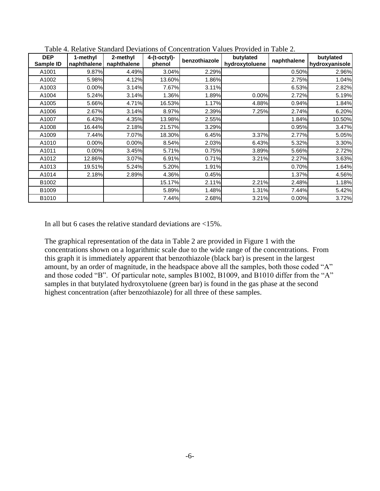| <b>DEP</b><br>Sample ID | 1-methyl<br>naphthalene | 2-methyl<br>naphthalene | $4-(t-octyl)-$<br>phenol | benzothiazole | butylated<br>hydroxytoluene | naphthalene | butylated<br>hydroxyanisole |
|-------------------------|-------------------------|-------------------------|--------------------------|---------------|-----------------------------|-------------|-----------------------------|
| A1001                   | 9.87%                   | 4.49%                   | 3.04%                    | 2.29%         |                             | 0.50%       | 2.96%                       |
| A1002                   | 5.98%                   | 4.12%                   | 13.60%                   | 1.86%         |                             | 2.75%       | 1.04%                       |
| A1003                   | 0.00%                   | 3.14%                   | 7.67%                    | 3.11%         |                             | 6.53%       | 2.82%                       |
| A1004                   | 5.24%                   | 3.14%                   | 1.36%                    | 1.89%         | 0.00%                       | 2.72%       | 5.19%                       |
| A1005                   | 5.66%                   | 4.71%                   | 16.53%                   | 1.17%         | 4.88%                       | 0.94%       | 1.84%                       |
| A1006                   | 2.67%                   | 3.14%                   | 8.97%                    | 2.39%         | 7.25%                       | 2.74%       | 6.20%                       |
| A1007                   | 6.43%                   | 4.35%                   | 13.98%                   | 2.55%         |                             | 1.84%       | 10.50%                      |
| A1008                   | 16.44%                  | 2.18%                   | 21.57%                   | 3.29%         |                             | 0.95%       | 3.47%                       |
| A1009                   | 7.44%                   | 7.07%                   | 18.30%                   | 6.45%         | 3.37%                       | 2.77%       | 5.05%                       |
| A1010                   | 0.00%                   | 0.00%                   | 8.54%                    | 2.03%         | 6.43%                       | 5.32%       | 3.30%                       |
| A1011                   | 0.00%                   | 3.45%                   | 5.71%                    | 0.75%         | 3.89%                       | 5.66%       | 2.72%                       |
| A1012                   | 12.86%                  | 3.07%                   | 6.91%                    | 0.71%         | 3.21%                       | 2.27%       | 3.63%                       |
| A1013                   | 19.51%                  | 5.24%                   | 5.20%                    | 1.91%         |                             | 0.70%       | 1.64%                       |
| A1014                   | 2.18%                   | 2.89%                   | 4.36%                    | 0.45%         |                             | 1.37%       | 4.56%                       |
| B <sub>1002</sub>       |                         |                         | 15.17%                   | 2.11%         | 2.21%                       | 2.48%       | 1.18%                       |
| B <sub>1009</sub>       |                         |                         | 5.89%                    | 1.48%         | 1.31%                       | 7.44%       | 5.42%                       |
| B1010                   |                         |                         | 7.44%                    | 2.68%         | 3.21%                       | 0.00%       | 3.72%                       |

Table 4. Relative Standard Deviations of Concentration Values Provided in Table 2.

In all but 6 cases the relative standard deviations are  $\langle 15\% \rangle$ .

The graphical representation of the data in Table 2 are provided in Figure 1 with the concentrations shown on a logarithmic scale due to the wide range of the concentrations. From this graph it is immediately apparent that benzothiazole (black bar) is present in the largest amount, by an order of magnitude, in the headspace above all the samples, both those coded "A" and those coded "B". Of particular note, samples B1002, B1009, and B1010 differ from the "A" samples in that butylated hydroxytoluene (green bar) is found in the gas phase at the second highest concentration (after benzothiazole) for all three of these samples.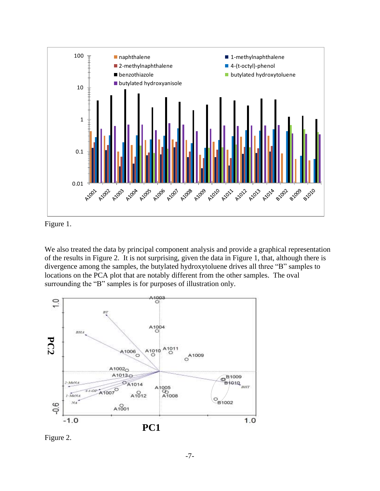

Figure 1.

We also treated the data by principal component analysis and provide a graphical representation of the results in Figure 2. It is not surprising, given the data in Figure 1, that, although there is divergence among the samples, the butylated hydroxytoluene drives all three "B" samples to locations on the PCA plot that are notably different from the other samples. The oval surrounding the "B" samples is for purposes of illustration only.



Figure 2.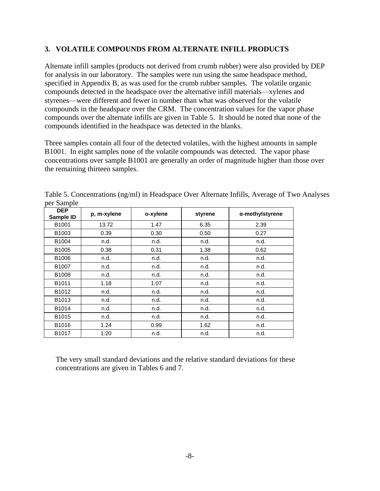# **3. VOLATILE COMPOUNDS FROM ALTERNATE INFILL PRODUCTS**

Alternate infill samples (products not derived from crumb rubber) were also provided by DEP for analysis in our laboratory. The samples were run using the same headspace method, specified in Appendix B, as was used for the crumb rubber samples. The volatile organic compounds detected in the headspace over the alternative infill materials—xylenes and styrenes—were different and fewer in number than what was observed for the volatile compounds in the headspace over the CRM. The concentration values for the vapor phase compounds over the alternate infills are given in Table 5. It should be noted that none of the compounds identified in the headspace was detected in the blanks.

Three samples contain all four of the detected volatiles, with the highest amounts in sample B1001. In eight samples none of the volatile compounds was detected. The vapor phase concentrations over sample B1001 are generally an order of magnitude higher than those over the remaining thirteen samples.

| <b>DEP</b><br>Sample ID | p, m-xylene | o-xylene | styrene | α-methylstyrene |
|-------------------------|-------------|----------|---------|-----------------|
| B1001                   | 13.72       | 1.47     | 6.35    | 2.39            |
| B <sub>1003</sub>       | 0.39        | 0.30     | 0.50    | 0.27            |
| B1004                   | n.d.        | n.d.     | n.d.    | n.d.            |
| B1005                   | 0.38        | 0.31     | 1.38    | 0.62            |
| B1006                   | n.d.        | n.d.     | n.d.    | n.d.            |
| B1007                   | n.d.        | n.d.     | n.d.    | n.d.            |
| B1008                   | n.d.        | n.d.     | n.d.    | n.d.            |
| B1011                   | 1.18        | 1.07     | n.d.    | n.d.            |
| B1012                   | n.d.        | n.d.     | n.d.    | n.d.            |
| B1013                   | n.d.        | n.d.     | n.d.    | n.d.            |
| B1014                   | n.d.        | n.d.     | n.d.    | n.d.            |
| B1015                   | n.d.        | n.d.     | n.d.    | n.d.            |
| B1016                   | 1.24        | 0.99     | 1.62    | n.d.            |
| B1017                   | 1.20        | n.d.     | n.d.    | n.d.            |

Table 5. Concentrations (ng/ml) in Headspace Over Alternate Infills, Average of Two Analyses per Sample

The very small standard deviations and the relative standard deviations for these concentrations are given in Tables 6 and 7.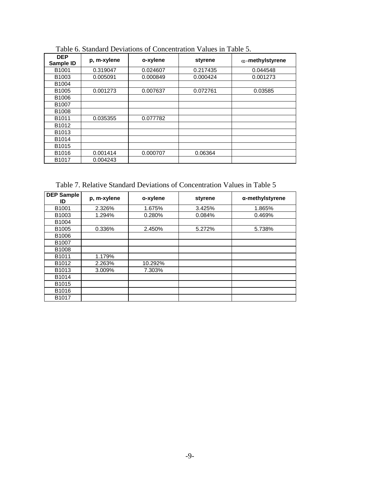| <b>DEP</b><br>Sample ID | p, m-xylene | o-xylene | styrene  | $\alpha$ -methylstyrene |
|-------------------------|-------------|----------|----------|-------------------------|
| B1001                   | 0.319047    | 0.024607 | 0.217435 | 0.044548                |
| B1003                   | 0.005091    | 0.000849 | 0.000424 | 0.001273                |
| B1004                   |             |          |          |                         |
| B <sub>1005</sub>       | 0.001273    | 0.007637 | 0.072761 | 0.03585                 |
| B1006                   |             |          |          |                         |
| B1007                   |             |          |          |                         |
| B1008                   |             |          |          |                         |
| B <sub>1011</sub>       | 0.035355    | 0.077782 |          |                         |
| B <sub>1012</sub>       |             |          |          |                         |
| B <sub>1013</sub>       |             |          |          |                         |
| B1014                   |             |          |          |                         |
| B <sub>1015</sub>       |             |          |          |                         |
| B1016                   | 0.001414    | 0.000707 | 0.06364  |                         |
| B1017                   | 0.004243    |          |          |                         |

Table 6. Standard Deviations of Concentration Values in Table 5.

Table 7. Relative Standard Deviations of Concentration Values in Table 5

| <b>DEP Sample</b><br>ID | p, m-xylene | o-xylene | styrene | α-methylstyrene |
|-------------------------|-------------|----------|---------|-----------------|
| B <sub>1001</sub>       | 2.326%      | 1.675%   | 3.425%  | 1.865%          |
| B <sub>1003</sub>       | 1.294%      | 0.280%   | 0.084%  | 0.469%          |
| B1004                   |             |          |         |                 |
| B <sub>1005</sub>       | 0.336%      | 2.450%   | 5.272%  | 5.738%          |
| B1006                   |             |          |         |                 |
| B1007                   |             |          |         |                 |
| B1008                   |             |          |         |                 |
| B <sub>1011</sub>       | 1.179%      |          |         |                 |
| B <sub>1012</sub>       | 2.263%      | 10.292%  |         |                 |
| B <sub>1013</sub>       | 3.009%      | 7.303%   |         |                 |
| B1014                   |             |          |         |                 |
| B <sub>1015</sub>       |             |          |         |                 |
| B1016                   |             |          |         |                 |
| B1017                   |             |          |         |                 |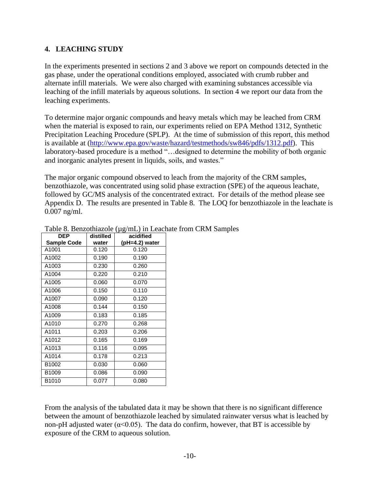# **4. LEACHING STUDY**

In the experiments presented in sections 2 and 3 above we report on compounds detected in the gas phase, under the operational conditions employed, associated with crumb rubber and alternate infill materials. We were also charged with examining substances accessible via leaching of the infill materials by aqueous solutions. In section 4 we report our data from the leaching experiments.

To determine major organic compounds and heavy metals which may be leached from CRM when the material is exposed to rain, our experiments relied on EPA Method 1312, Synthetic Precipitation Leaching Procedure (SPLP). At the time of submission of this report, this method is available at [\(http://www.epa.gov/waste/hazard/testmethods/sw846/pdfs/1312.pdf\)](http://www.epa.gov/waste/hazard/testmethods/sw846/pdfs/1312.pdf). This laboratory-based procedure is a method "…designed to determine the mobility of both organic and inorganic analytes present in liquids, soils, and wastes."

The major organic compound observed to leach from the majority of the CRM samples, benzothiazole, was concentrated using solid phase extraction (SPE) of the aqueous leachate, followed by GC/MS analysis of the concentrated extract. For details of the method please see Appendix D. The results are presented in Table 8. The LOQ for benzothiazole in the leachate is 0.007 ng/ml.

| <b>DEP</b>         | distilled | acidified      |
|--------------------|-----------|----------------|
| <b>Sample Code</b> | water     | (pH=4.2) water |
| A1001              | 0.120     | 0.120          |
| A1002              | 0.190     | 0.190          |
| A1003              | 0.230     | 0.260          |
| A1004              | 0.220     | 0.210          |
| A1005              | 0.060     | 0.070          |
| A1006              | 0.150     | 0.110          |
| A1007              | 0.090     | 0.120          |
| A1008              | 0.144     | 0.150          |
| A1009              | 0.183     | 0.185          |
| A1010              | 0.270     | 0.268          |
| A1011              | 0.203     | 0.206          |
| A1012              | 0.165     | 0.169          |
| A1013              | 0.116     | 0.095          |
| A1014              | 0.178     | 0.213          |
| B1002              | 0.030     | 0.060          |
| B1009              | 0.086     | 0.090          |
| B <sub>1010</sub>  | 0.077     | 0.080          |

Table 8. Benzothiazole ( $\mu$ g/mL) in Leachate from CRM Samples

From the analysis of the tabulated data it may be shown that there is no significant difference between the amount of benzothiazole leached by simulated rainwater versus what is leached by non-pH adjusted water ( $\alpha$ <0.05). The data do confirm, however, that BT is accessible by exposure of the CRM to aqueous solution.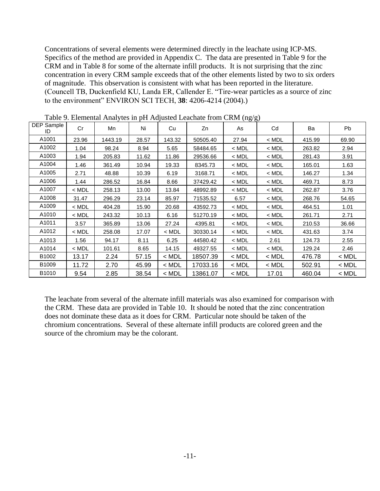Concentrations of several elements were determined directly in the leachate using ICP-MS. Specifics of the method are provided in Appendix C. The data are presented in Table 9 for the CRM and in Table 8 for some of the alternate infill products. It is not surprising that the zinc concentration in every CRM sample exceeds that of the other elements listed by two to six orders of magnitude. This observation is consistent with what has been reported in the literature. (Councell TB, Duckenfield KU, Landa ER, Callender E. "Tire-wear particles as a source of zinc to the environment" ENVIRON SCI TECH, **38**: 4206-4214 (2004).)

| DEP Sample<br>ID | Cr      | Mn      | Ni    | Cu      | Zn       | - \--o o/<br>As | Cd      | Ba     | Pb      |
|------------------|---------|---------|-------|---------|----------|-----------------|---------|--------|---------|
| A1001            | 23.96   | 1443.19 | 28.57 | 143.32  | 50505.40 | 27.94           | $<$ MDL | 415.99 | 69.90   |
| A1002            | 1.04    | 98.24   | 8.94  | 5.65    | 58484.65 | $<$ MDL         | $<$ MDL | 263.82 | 2.94    |
| A1003            | 1.94    | 205.83  | 11.62 | 11.86   | 29536.66 | $<$ MDL         | $<$ MDL | 281.43 | 3.91    |
| A1004            | 1.46    | 361.49  | 10.94 | 19.33   | 8345.73  | $<$ MDL         | $<$ MDL | 165.01 | 1.63    |
| A1005            | 2.71    | 48.88   | 10.39 | 6.19    | 3168.71  | $<$ MDL         | $<$ MDL | 146.27 | 1.34    |
| A1006            | 1.44    | 286.52  | 16.84 | 8.66    | 37429.42 | $<$ MDL         | $<$ MDL | 469.71 | 8.73    |
| A1007            | < MDL   | 258.13  | 13.00 | 13.84   | 48992.89 | $<$ MDL         | $<$ MDL | 262.87 | 3.76    |
| A1008            | 31.47   | 296.29  | 23.14 | 85.97   | 71535.52 | 6.57            | $<$ MDL | 268.76 | 54.65   |
| A1009            | $<$ MDL | 404.28  | 15.90 | 20.68   | 43592.73 | $<$ MDL         | $<$ MDL | 464.51 | 1.01    |
| A1010            | $<$ MDL | 243.32  | 10.13 | 6.16    | 51270.19 | $<$ MDL         | $<$ MDL | 261.71 | 2.71    |
| A1011            | 3.57    | 365.89  | 13.06 | 27.24   | 4395.81  | $<$ MDL         | $<$ MDL | 210.53 | 36.66   |
| A1012            | $<$ MDL | 258.08  | 17.07 | < MDL   | 30330.14 | $<$ MDL         | $<$ MDL | 431.63 | 3.74    |
| A1013            | 1.56    | 94.17   | 8.11  | 6.25    | 44580.42 | $<$ MDL         | 2.61    | 124.73 | 2.55    |
| A1014            | $<$ MDL | 101.61  | 8.65  | 14.15   | 49327.55 | $<$ MDL         | $<$ MDL | 129.24 | 2.46    |
| B1002            | 13.17   | 2.24    | 57.15 | $<$ MDL | 18507.39 | < MDL           | $<$ MDL | 476.78 | $<$ MDL |
| B1009            | 11.72   | 2.70    | 45.99 | $<$ MDL | 17033.16 | $<$ MDL         | $<$ MDL | 502.91 | $<$ MDL |
| B1010            | 9.54    | 2.85    | 38.54 | < MDL   | 13861.07 | $<$ MDL         | 17.01   | 460.04 | $<$ MDL |

Table 9. Elemental Analytes in pH Adjusted Leachate from CRM (ng/g)

The leachate from several of the alternate infill materials was also examined for comparison with the CRM. These data are provided in Table 10. It should be noted that the zinc concentration does not dominate these data as it does for CRM. Particular note should be taken of the chromium concentrations. Several of these alternate infill products are colored green and the source of the chromium may be the colorant.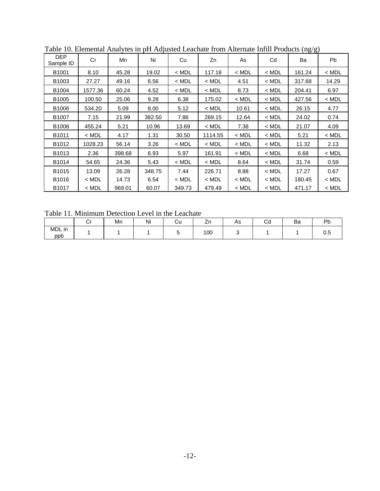|                         |         |        |        |         |         |         |         | \--0' 0' |         |
|-------------------------|---------|--------|--------|---------|---------|---------|---------|----------|---------|
| <b>DEP</b><br>Sample ID | Cr      | Mn     | Ni     | Cu      | Zn      | As      | Cd      | Ba       | Pb.     |
| B <sub>1001</sub>       | 8.10    | 45.28  | 19.02  | < MDL   | 117.18  | $<$ MDL | $<$ MDL | 161.24   | $<$ MDL |
| B1003                   | 27.27   | 49.16  | 6.56   | $<$ MDL | $<$ MDL | 4.51    | $<$ MDL | 317.68   | 14.29   |
| B1004                   | 1577.36 | 60.24  | 4.52   | $<$ MDL | $<$ MDL | 8.73    | $<$ MDL | 204.41   | 6.97    |
| B <sub>1005</sub>       | 100.50  | 25.06  | 9.28   | 6.38    | 175.02  | $<$ MDL | $<$ MDL | 427.56   | $<$ MDL |
| B1006                   | 534.20  | 5.09   | 8.00   | 5.12    | $<$ MDL | 10.61   | $<$ MDL | 26.15    | 4.77    |
| B1007                   | 7.15    | 21.99  | 382.50 | 7.86    | 269.15  | 12.64   | $<$ MDL | 24.02    | 0.74    |
| B1008                   | 455.24  | 5.21   | 10.96  | 13.69   | $<$ MDL | 7.38    | $<$ MDL | 21.07    | 4.09    |
| B1011                   | $<$ MDL | 4.17   | 1.31   | 30.50   | 1114.55 | $<$ MDL | $<$ MDL | 5.21     | $<$ MDL |
| B1012                   | 1028.23 | 56.14  | 3.26   | $<$ MDL | $<$ MDL | $<$ MDL | $<$ MDL | 11.32    | 2.13    |
| B <sub>1013</sub>       | 2.36    | 398.68 | 6.93   | 5.97    | 161.91  | $<$ MDL | $<$ MDL | 6.68     | $<$ MDL |
| B <sub>1014</sub>       | 54.65   | 24.36  | 5.43   | $<$ MDL | $<$ MDL | 8.64    | $<$ MDL | 31.74    | 0.59    |
| B1015                   | 13.09   | 26.28  | 348.75 | 7.44    | 226.71  | 8.88    | $<$ MDL | 17.27    | 0.67    |
| B1016                   | $<$ MDL | 14.73  | 6.54   | $<$ MDL | $<$ MDL | $<$ MDL | $<$ MDL | 180.45   | $<$ MDL |
| B <sub>1017</sub>       | $<$ MDL | 969.01 | 60.07  | 349.73  | 479.49  | $<$ MDL | $<$ MDL | 471.17   | $<$ MDL |

Table 10. Elemental Analytes in pH Adjusted Leachate from Alternate Infill Products (ng/g)

Table 11. Minimum Detection Level in the Leachate

|               | Mn | Ni | ٠.<br>Ψu | --  | As | $\sim$ .<br>٠.<br>vu | Ba | Dŀ   |
|---------------|----|----|----------|-----|----|----------------------|----|------|
| MDL in<br>ppb |    |    |          | 100 |    |                      |    | ັ∨.⊽ |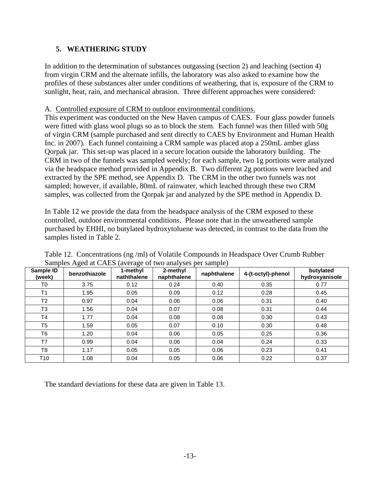# **5. WEATHERING STUDY**

In addition to the determination of substances outgassing (section 2) and leaching (section 4) from virgin CRM and the alternate infills, the laboratory was also asked to examine how the profiles of these substances alter under conditions of weathering, that is, exposure of the CRM to sunlight, heat, rain, and mechanical abrasion. Three different approaches were considered:

# A. Controlled exposure of CRM to outdoor environmental conditions.

This experiment was conducted on the New Haven campus of CAES. Four glass powder funnels were fitted with glass wool plugs so as to block the stem. Each funnel was then filled with 50g of virgin CRM (sample purchased and sent directly to CAES by Environment and Human Health Inc. in 2007). Each funnel containing a CRM sample was placed atop a 250mL amber glass Qorpak jar. This set-up was placed in a secure location outside the laboratory building. The CRM in two of the funnels was sampled weekly; for each sample, two 1g portions were analyzed via the headspace method provided in Appendix B. Two different 2g portions were leached and extracted by the SPE method, see Appendix D. The CRM in the other two funnels was not sampled; however, if available, 80mL of rainwater, which leached through these two CRM samples, was collected from the Qorpak jar and analyzed by the SPE method in Appendix D.

In Table 12 we provide the data from the headspace analysis of the CRM exposed to these controlled, outdoor environmental conditions. Please note that in the unweathered sample purchased by EHHI, no butylated hydroxytoluene was detected, in contrast to the data from the samples listed in Table 2.

| Sample ID<br>(week) | benzothiazole | 1-methyl<br>naththalene | 2-methyl<br>naphthalene | naphthalene | 4-(t-octyl)-phenol | butylated<br>hydroxyanisole |
|---------------------|---------------|-------------------------|-------------------------|-------------|--------------------|-----------------------------|
| T0                  | 3.75          | 0.12                    | 0.24                    | 0.40        | 0.35               | 0.77                        |
| T <sub>1</sub>      | 1.95          | 0.05                    | 0.09                    | 0.12        | 0.28               | 0.45                        |
| T <sub>2</sub>      | 0.97          | 0.04                    | 0.06                    | 0.06        | 0.31               | 0.40                        |
| T <sub>3</sub>      | 1.56          | 0.04                    | 0.07                    | 0.08        | 0.31               | 0.44                        |
| <b>T4</b>           | 1.77          | 0.04                    | 0.08                    | 0.08        | 0.30               | 0.43                        |
| T <sub>5</sub>      | 1.59          | 0.05                    | 0.07                    | 0.10        | 0.30               | 0.48                        |
| T <sub>6</sub>      | 1.20          | 0.04                    | 0.06                    | 0.05        | 0.25               | 0.36                        |
| T7                  | 0.99          | 0.04                    | 0.06                    | 0.04        | 0.24               | 0.33                        |
| T8                  | 1.17          | 0.05                    | 0.05                    | 0.06        | 0.23               | 0.41                        |
| T10                 | 1.08          | 0.04                    | 0.05                    | 0.06        | 0.22               | 0.37                        |

Table 12. Concentrations (ng /ml) of Volatile Compounds in Headspace Over Crumb Rubber Samples Aged at CAES (average of two analyses per sample)

The standard deviations for these data are given in Table 13.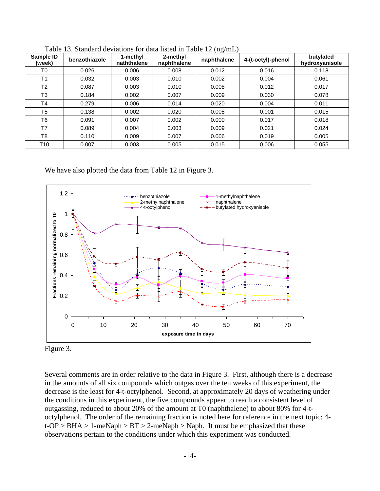| Sample ID<br>(week) | benzothiazole | 1-methyl<br>naththalene | 2-methyl<br>naphthalene | \-- <i>o</i> ' -------<br>naphthalene | 4-(t-octyl)-phenol | butylated<br>hydroxyanisole |
|---------------------|---------------|-------------------------|-------------------------|---------------------------------------|--------------------|-----------------------------|
| T0                  | 0.026         | 0.006                   | 0.008                   | 0.012                                 | 0.016              | 0.118                       |
| T <sub>1</sub>      | 0.032         | 0.003                   | 0.010                   | 0.002                                 | 0.004              | 0.061                       |
| T <sub>2</sub>      | 0.087         | 0.003                   | 0.010                   | 0.008                                 | 0.012              | 0.017                       |
| T <sub>3</sub>      | 0.184         | 0.002                   | 0.007                   | 0.009                                 | 0.030              | 0.078                       |
| T <sub>4</sub>      | 0.279         | 0.006                   | 0.014                   | 0.020                                 | 0.004              | 0.011                       |
| T <sub>5</sub>      | 0.138         | 0.002                   | 0.020                   | 0.008                                 | 0.001              | 0.015                       |
| T <sub>6</sub>      | 0.091         | 0.007                   | 0.002                   | 0.000                                 | 0.017              | 0.018                       |
| T7                  | 0.089         | 0.004                   | 0.003                   | 0.009                                 | 0.021              | 0.024                       |
| T <sub>8</sub>      | 0.110         | 0.009                   | 0.007                   | 0.006                                 | 0.019              | 0.005                       |
| T <sub>10</sub>     | 0.007         | 0.003                   | 0.005                   | 0.015                                 | 0.006              | 0.055                       |

Table 13. Standard deviations for data listed in Table 12 (ng/mL)

We have also plotted the data from Table 12 in Figure 3.



Figure 3.

Several comments are in order relative to the data in Figure 3. First, although there is a decrease in the amounts of all six compounds which outgas over the ten weeks of this experiment, the decrease is the least for 4-t-octylphenol. Second, at approximately 20 days of weathering under the conditions in this experiment, the five compounds appear to reach a consistent level of outgassing, reduced to about 20% of the amount at T0 (naphthalene) to about 80% for 4-toctylphenol. The order of the remaining fraction is noted here for reference in the next topic: 4  $t$ -OP > BHA > 1-meNaph > BT > 2-meNaph > Naph. It must be emphasized that these observations pertain to the conditions under which this experiment was conducted.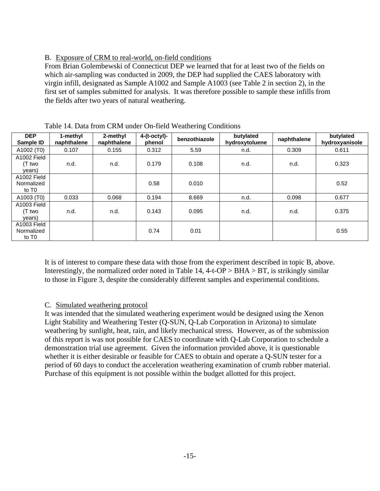# B. Exposure of CRM to real-world, on-field conditions

From Brian Golembewski of Connecticut DEP we learned that for at least two of the fields on which air-sampling was conducted in 2009, the DEP had supplied the CAES laboratory with virgin infill, designated as Sample A1002 and Sample A1003 (see Table 2 in section 2), in the first set of samples submitted for analysis. It was therefore possible to sample these infills from the fields after two years of natural weathering.

| <b>DEP</b><br>Sample ID                        | 1-methyl<br>naphthalene | 2-methyl<br>naphthalene | $4-(t-octyl)$ -<br>phenol | benzothiazole | butylated<br>hydroxytoluene | naphthalene | butylated<br>hydroxyanisole |
|------------------------------------------------|-------------------------|-------------------------|---------------------------|---------------|-----------------------------|-------------|-----------------------------|
| A1002 (T0)                                     | 0.107                   | 0.155                   | 0.312                     | 5.59          | n.d.                        | 0.309       | 0.611                       |
| A1002 Field<br>(T two<br>years)                | n.d.                    | n.d.                    | 0.179                     | 0.108         | n.d.                        | n.d.        | 0.323                       |
| A1002 Field<br>Normalized<br>to T <sub>0</sub> |                         |                         | 0.58                      | 0.010         |                             |             | 0.52                        |
| A1003 (T0)                                     | 0.033                   | 0.068                   | 0.194                     | 8.669         | n.d.                        | 0.098       | 0.677                       |
| A1003 Field<br>(T two<br>years)                | n.d.                    | n.d.                    | 0.143                     | 0.095         | n.d.                        | n.d.        | 0.375                       |
| A1003 Field<br>Normalized<br>to T <sub>0</sub> |                         |                         | 0.74                      | 0.01          |                             |             | 0.55                        |

| Table 14. Data from CRM under On-field Weathering Conditions |  |
|--------------------------------------------------------------|--|
|--------------------------------------------------------------|--|

It is of interest to compare these data with those from the experiment described in topic B, above. Interestingly, the normalized order noted in Table 14,  $4-t-OP > BHA > BT$ , is strikingly similar to those in Figure 3, despite the considerably different samples and experimental conditions.

# C. Simulated weathering protocol

It was intended that the simulated weathering experiment would be designed using the Xenon Light Stability and Weathering Tester (Q-SUN, Q-Lab Corporation in Arizona) to simulate weathering by sunlight, heat, rain, and likely mechanical stress. However, as of the submission of this report is was not possible for CAES to coordinate with Q-Lab Corporation to schedule a demonstration trial use agreement. Given the information provided above, it is questionable whether it is either desirable or feasible for CAES to obtain and operate a Q-SUN tester for a period of 60 days to conduct the acceleration weathering examination of crumb rubber material. Purchase of this equipment is not possible within the budget allotted for this project.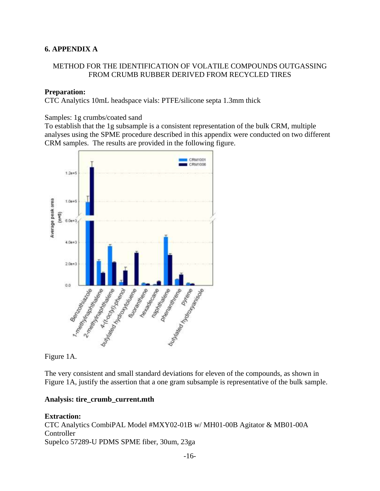# **6. APPENDIX A**

# METHOD FOR THE IDENTIFICATION OF VOLATILE COMPOUNDS OUTGASSING FROM CRUMB RUBBER DERIVED FROM RECYCLED TIRES

### **Preparation:**

CTC Analytics 10mL headspace vials: PTFE/silicone septa 1.3mm thick

Samples: 1g crumbs/coated sand

To establish that the 1g subsample is a consistent representation of the bulk CRM, multiple analyses using the SPME procedure described in this appendix were conducted on two different CRM samples. The results are provided in the following figure.



Figure 1A.

The very consistent and small standard deviations for eleven of the compounds, as shown in Figure 1A, justify the assertion that a one gram subsample is representative of the bulk sample.

#### **Analysis: tire\_crumb\_current.mth**

**Extraction:** CTC Analytics CombiPAL Model #MXY02-01B w/ MH01-00B Agitator & MB01-00A Controller Supelco 57289-U PDMS SPME fiber, 30um, 23ga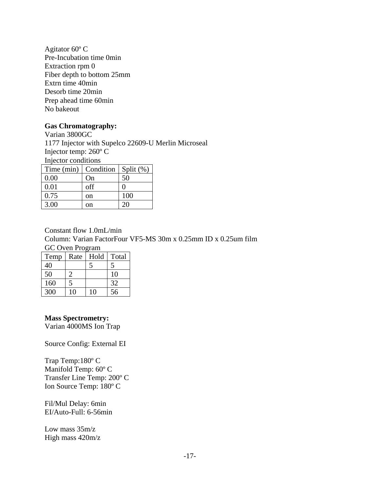Agitator 60º C Pre-Incubation time 0min Extraction rpm 0 Fiber depth to bottom 25mm Extrn time 40min Desorb time 20min Prep ahead time 60min No bakeout

#### **Gas Chromatography:**

Varian 3800GC 1177 Injector with Supelco 22609-U Merlin Microseal Injector temp: 260º C Injector conditions Time (min)  $\vert$  Condition  $\vert$  Split (%) 0.00 | On | 50  $0.01$  off  $\vert 0 \vert$ 0.75 | on | 100 3.00 on 20

Constant flow 1.0mL/min Column: Varian FactorFour VF5-MS 30m x 0.25mm ID x 0.25um film GC Oven Program

| Temp | Rate | Hold | Total |
|------|------|------|-------|
| 40   |      |      |       |
| 50   |      |      | 10    |
| 160  |      |      | 32    |
| 300  | 10   | 10   | 56    |

#### **Mass Spectrometry:**

Varian 4000MS Ion Trap

Source Config: External EI

Trap Temp:180º C Manifold Temp: 60º C Transfer Line Temp: 200º C Ion Source Temp: 180º C

Fil/Mul Delay: 6min EI/Auto-Full: 6-56min

Low mass 35m/z High mass 420m/z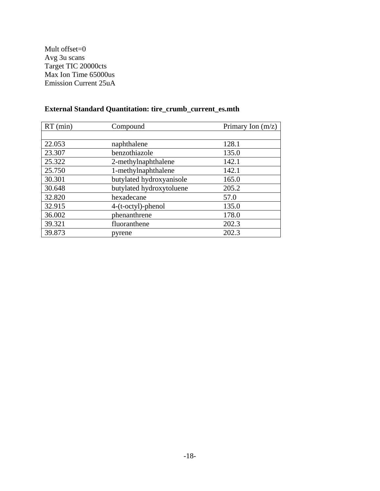Mult offset=0 Avg 3u scans Target TIC 20000cts Max Ion Time 65000us Emission Current 25uA

| $RT$ (min) | Compound                 | Primary Ion $(m/z)$ |
|------------|--------------------------|---------------------|
|            |                          |                     |
| 22.053     | naphthalene              | 128.1               |
| 23.307     | benzothiazole            | 135.0               |
| 25.322     | 2-methylnaphthalene      | 142.1               |
| 25.750     | 1-methylnaphthalene      | 142.1               |
| 30.301     | butylated hydroxyanisole | 165.0               |
| 30.648     | butylated hydroxytoluene | 205.2               |
| 32.820     | hexadecane               | 57.0                |
| 32.915     | 4-(t-octyl)-phenol       | 135.0               |
| 36.002     | phenanthrene             | 178.0               |
| 39.321     | fluoranthene             | 202.3               |
| 39.873     | pyrene                   | 202.3               |

# **External Standard Quantitation: tire\_crumb\_current\_es.mth**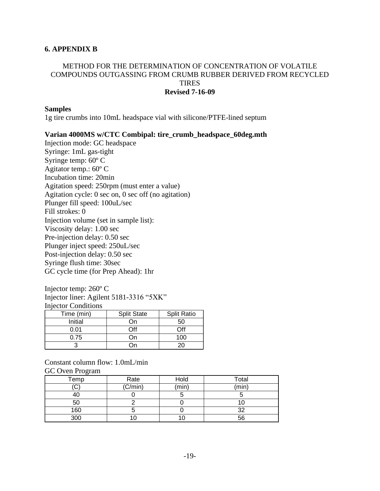#### **6. APPENDIX B**

#### METHOD FOR THE DETERMINATION OF CONCENTRATION OF VOLATILE COMPOUNDS OUTGASSING FROM CRUMB RUBBER DERIVED FROM RECYCLED **TIRES Revised 7-16-09**

#### **Samples**

1g tire crumbs into 10mL headspace vial with silicone/PTFE-lined septum

#### **Varian 4000MS w/CTC Combipal: tire\_crumb\_headspace\_60deg.mth**

Injection mode: GC headspace Syringe: 1mL gas-tight Syringe temp: 60º C Agitator temp.: 60º C Incubation time: 20min Agitation speed: 250rpm (must enter a value) Agitation cycle: 0 sec on, 0 sec off (no agitation) Plunger fill speed: 100uL/sec Fill strokes: 0 Injection volume (set in sample list): Viscosity delay: 1.00 sec Pre-injection delay: 0.50 sec Plunger inject speed: 250uL/sec Post-injection delay: 0.50 sec Syringe flush time: 30sec GC cycle time (for Prep Ahead): 1hr

#### Injector temp: 260º C

Injector liner: Agilent 5181-3316 "5XK" Injector Conditions

| Time (min) | <b>Split State</b> | <b>Split Ratio</b> |  |
|------------|--------------------|--------------------|--|
| Initial    | )n                 | 50                 |  |
| 0.01       | ገff                | ∩ff                |  |
| 0.75       | )n                 | 100.               |  |
|            |                    |                    |  |

#### Constant column flow: 1.0mL/min

GC Oven Program

| c    |         |       |       |
|------|---------|-------|-------|
| Temp | Rate    | Hold  | Total |
| ◡    | (C/min) | (min) | (min) |
| 40   |         |       |       |
| 50   |         |       |       |
| 160  |         |       | つつ    |
| 300  | IО      |       | 56    |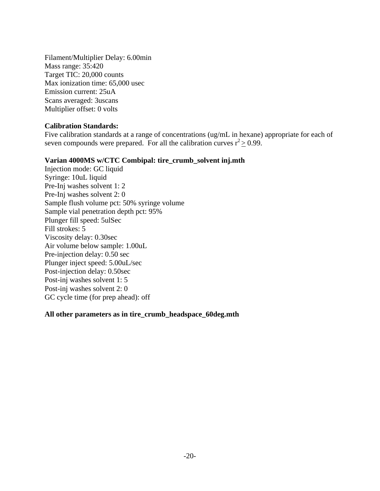Filament/Multiplier Delay: 6.00min Mass range: 35:420 Target TIC: 20,000 counts Max ionization time: 65,000 usec Emission current: 25uA Scans averaged: 3uscans Multiplier offset: 0 volts

#### **Calibration Standards:**

Five calibration standards at a range of concentrations (ug/mL in hexane) appropriate for each of seven compounds were prepared. For all the calibration curves  $r^2 \ge 0.99$ .

#### **Varian 4000MS w/CTC Combipal: tire\_crumb\_solvent inj.mth**

Injection mode: GC liquid Syringe: 10uL liquid Pre-Inj washes solvent 1: 2 Pre-Inj washes solvent 2: 0 Sample flush volume pct: 50% syringe volume Sample vial penetration depth pct: 95% Plunger fill speed: 5ulSec Fill strokes: 5 Viscosity delay: 0.30sec Air volume below sample: 1.00uL Pre-injection delay: 0.50 sec Plunger inject speed: 5.00uL/sec Post-injection delay: 0.50sec Post-inj washes solvent 1: 5 Post-inj washes solvent 2: 0 GC cycle time (for prep ahead): off

#### **All other parameters as in tire\_crumb\_headspace\_60deg.mth**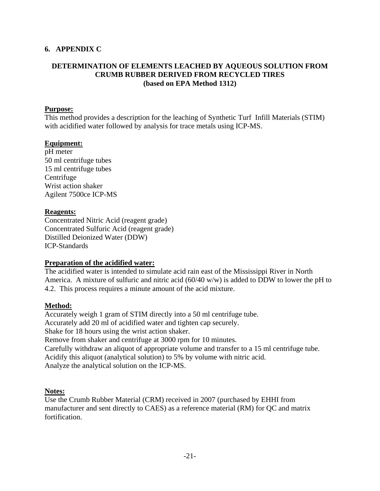# **6. APPENDIX C**

### **DETERMINATION OF ELEMENTS LEACHED BY AQUEOUS SOLUTION FROM CRUMB RUBBER DERIVED FROM RECYCLED TIRES (based on EPA Method 1312)**

#### **Purpose:**

This method provides a description for the leaching of Synthetic Turf Infill Materials (STIM) with acidified water followed by analysis for trace metals using ICP-MS.

### **Equipment:**

pH meter 50 ml centrifuge tubes 15 ml centrifuge tubes Centrifuge Wrist action shaker Agilent 7500ce ICP-MS

### **Reagents:**

Concentrated Nitric Acid (reagent grade) Concentrated Sulfuric Acid (reagent grade) Distilled Deionized Water (DDW) ICP-Standards

# **Preparation of the acidified water:**

The acidified water is intended to simulate acid rain east of the Mississippi River in North America. A mixture of sulfuric and nitric acid (60/40 w/w) is added to DDW to lower the pH to 4.2. This process requires a minute amount of the acid mixture.

#### **Method:**

Accurately weigh 1 gram of STIM directly into a 50 ml centrifuge tube. Accurately add 20 ml of acidified water and tighten cap securely. Shake for 18 hours using the wrist action shaker. Remove from shaker and centrifuge at 3000 rpm for 10 minutes. Carefully withdraw an aliquot of appropriate volume and transfer to a 15 ml centrifuge tube. Acidify this aliquot (analytical solution) to 5% by volume with nitric acid. Analyze the analytical solution on the ICP-MS.

#### **Notes:**

Use the Crumb Rubber Material (CRM) received in 2007 (purchased by EHHI from manufacturer and sent directly to CAES) as a reference material (RM) for QC and matrix fortification.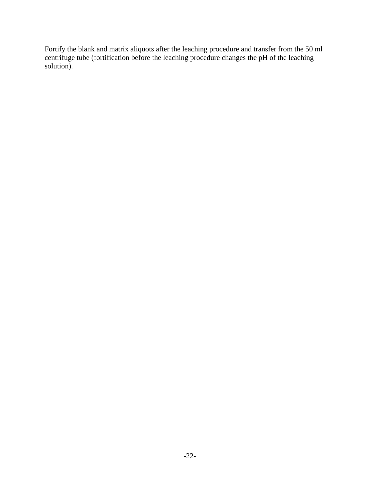Fortify the blank and matrix aliquots after the leaching procedure and transfer from the 50 ml centrifuge tube (fortification before the leaching procedure changes the pH of the leaching solution).